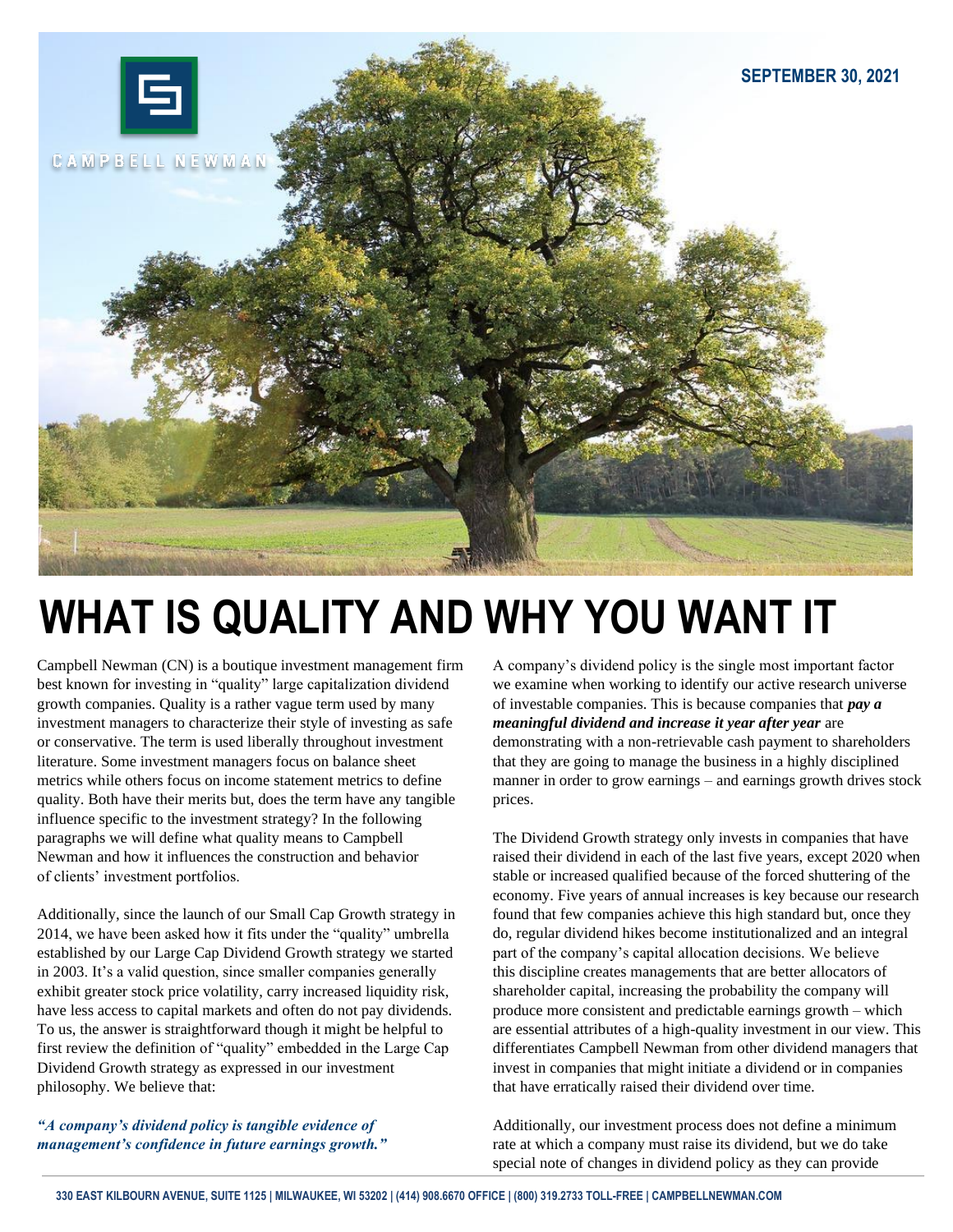

## **WHAT IS QUALITY AND WHY YOU WANT IT**

Campbell Newman (CN) is a boutique investment management firm best known for investing in "quality" large capitalization dividend growth companies. Quality is a rather vague term used by many investment managers to characterize their style of investing as safe or conservative. The term is used liberally throughout investment literature. Some investment managers focus on balance sheet metrics while others focus on income statement metrics to define quality. Both have their merits but, does the term have any tangible influence specific to the investment strategy? In the following paragraphs we will define what quality means to Campbell Newman and how it influences the construction and behavior of clients' investment portfolios.

Additionally, since the launch of our Small Cap Growth strategy in 2014, we have been asked how it fits under the "quality" umbrella established by our Large Cap Dividend Growth strategy we started in 2003. It's a valid question, since smaller companies generally exhibit greater stock price volatility, carry increased liquidity risk, have less access to capital markets and often do not pay dividends. To us, the answer is straightforward though it might be helpful to first review the definition of "quality" embedded in the Large Cap Dividend Growth strategy as expressed in our investment philosophy. We believe that:

*"A company's dividend policy is tangible evidence of management's confidence in future earnings growth."* A company's dividend policy is the single most important factor we examine when working to identify our active research universe of investable companies. This is because companies that *pay a meaningful dividend and increase it year after year* are demonstrating with a non-retrievable cash payment to shareholders that they are going to manage the business in a highly disciplined manner in order to grow earnings – and earnings growth drives stock prices.

The Dividend Growth strategy only invests in companies that have raised their dividend in each of the last five years, except 2020 when stable or increased qualified because of the forced shuttering of the economy. Five years of annual increases is key because our research found that few companies achieve this high standard but, once they do, regular dividend hikes become institutionalized and an integral part of the company's capital allocation decisions. We believe this discipline creates managements that are better allocators of shareholder capital, increasing the probability the company will produce more consistent and predictable earnings growth – which are essential attributes of a high-quality investment in our view. This differentiates Campbell Newman from other dividend managers that invest in companies that might initiate a dividend or in companies that have erratically raised their dividend over time.

Additionally, our investment process does not define a minimum rate at which a company must raise its dividend, but we do take special note of changes in dividend policy as they can provide